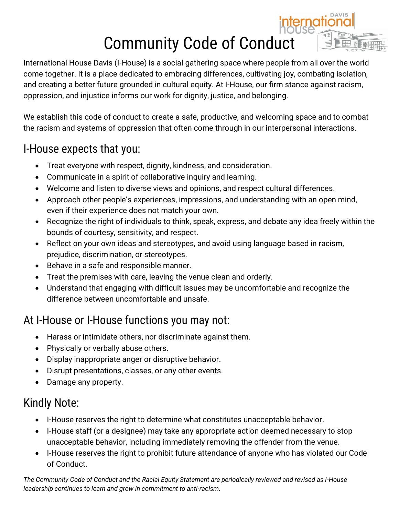# Community Code of Conduct

nati



We establish this code of conduct to create a safe, productive, and welcoming space and to combat the racism and systems of oppression that often come through in our interpersonal interactions.

#### I-House expects that you:

- Treat everyone with respect, dignity, kindness, and consideration.
- Communicate in a spirit of collaborative inquiry and learning.
- Welcome and listen to diverse views and opinions, and respect cultural differences.
- Approach other people's experiences, impressions, and understanding with an open mind, even if their experience does not match your own.
- Recognize the right of individuals to think, speak, express, and debate any idea freely within the bounds of courtesy, sensitivity, and respect.
- Reflect on your own ideas and stereotypes, and avoid using language based in racism, prejudice, discrimination, or stereotypes.
- Behave in a safe and responsible manner.
- Treat the premises with care, leaving the venue clean and orderly.
- Understand that engaging with difficult issues may be uncomfortable and recognize the difference between uncomfortable and unsafe.

### At I-House or I-House functions you may not:

- Harass or intimidate others, nor discriminate against them.
- Physically or verbally abuse others.
- Display inappropriate anger or disruptive behavior.
- Disrupt presentations, classes, or any other events.
- Damage any property.

### Kindly Note:

- I-House reserves the right to determine what constitutes unacceptable behavior.
- I-House staff (or a designee) may take any appropriate action deemed necessary to stop unacceptable behavior, including immediately removing the offender from the venue.
- I-House reserves the right to prohibit future attendance of anyone who has violated our Code of Conduct.

*The Community Code of Conduct and the Racial Equity Statement are periodically reviewed and revised as I-House leadership continues to learn and grow in commitment to anti-racism.*